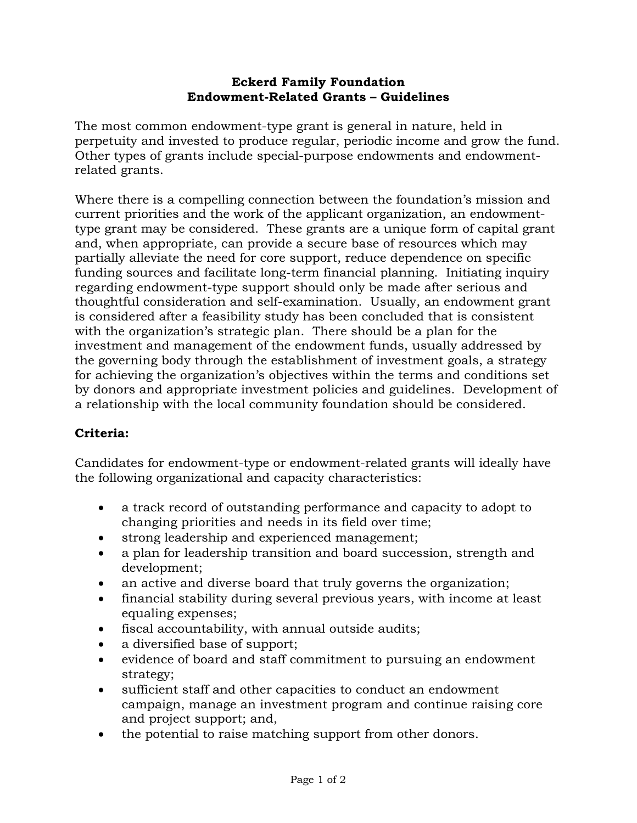## **Eckerd Family Foundation Endowment-Related Grants – Guidelines**

The most common endowment-type grant is general in nature, held in perpetuity and invested to produce regular, periodic income and grow the fund. Other types of grants include special-purpose endowments and endowmentrelated grants.

Where there is a compelling connection between the foundation's mission and current priorities and the work of the applicant organization, an endowmenttype grant may be considered. These grants are a unique form of capital grant and, when appropriate, can provide a secure base of resources which may partially alleviate the need for core support, reduce dependence on specific funding sources and facilitate long-term financial planning. Initiating inquiry regarding endowment-type support should only be made after serious and thoughtful consideration and self-examination. Usually, an endowment grant is considered after a feasibility study has been concluded that is consistent with the organization's strategic plan. There should be a plan for the investment and management of the endowment funds, usually addressed by the governing body through the establishment of investment goals, a strategy for achieving the organization's objectives within the terms and conditions set by donors and appropriate investment policies and guidelines. Development of a relationship with the local community foundation should be considered.

## **Criteria:**

Candidates for endowment-type or endowment-related grants will ideally have the following organizational and capacity characteristics:

- a track record of outstanding performance and capacity to adopt to changing priorities and needs in its field over time;
- strong leadership and experienced management;
- a plan for leadership transition and board succession, strength and development;
- an active and diverse board that truly governs the organization;
- financial stability during several previous years, with income at least equaling expenses;
- fiscal accountability, with annual outside audits;
- a diversified base of support;
- evidence of board and staff commitment to pursuing an endowment strategy;
- sufficient staff and other capacities to conduct an endowment campaign, manage an investment program and continue raising core and project support; and,
- the potential to raise matching support from other donors.